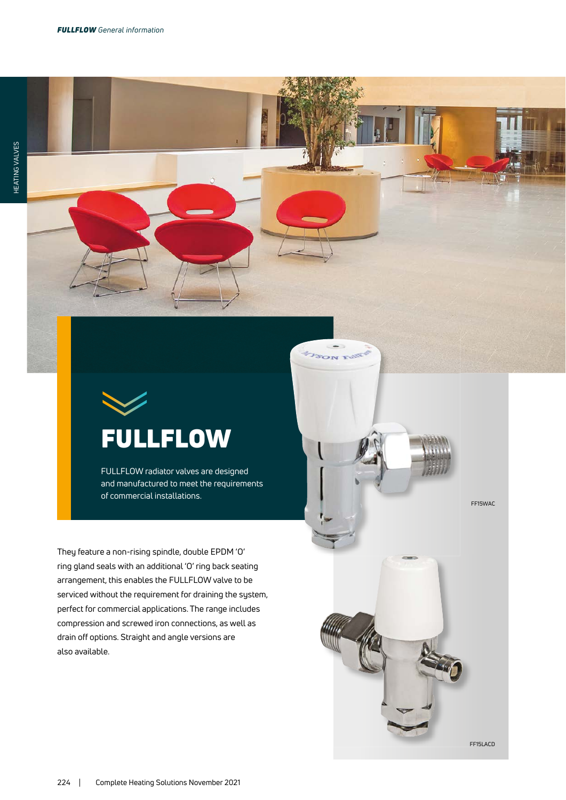

FULLFLOW radiator valves are designed and manufactured to meet the requirements

They feature a non-rising spindle, double EPDM 'O' ring gland seals with an additional 'O' ring back seating arrangement, this enables the FULLFLOW valve to be serviced without the requirement for draining the system, perfect for commercial applications. The range includes compression and screwed iron connections, as well as drain off options. Straight and angle versions are also available.